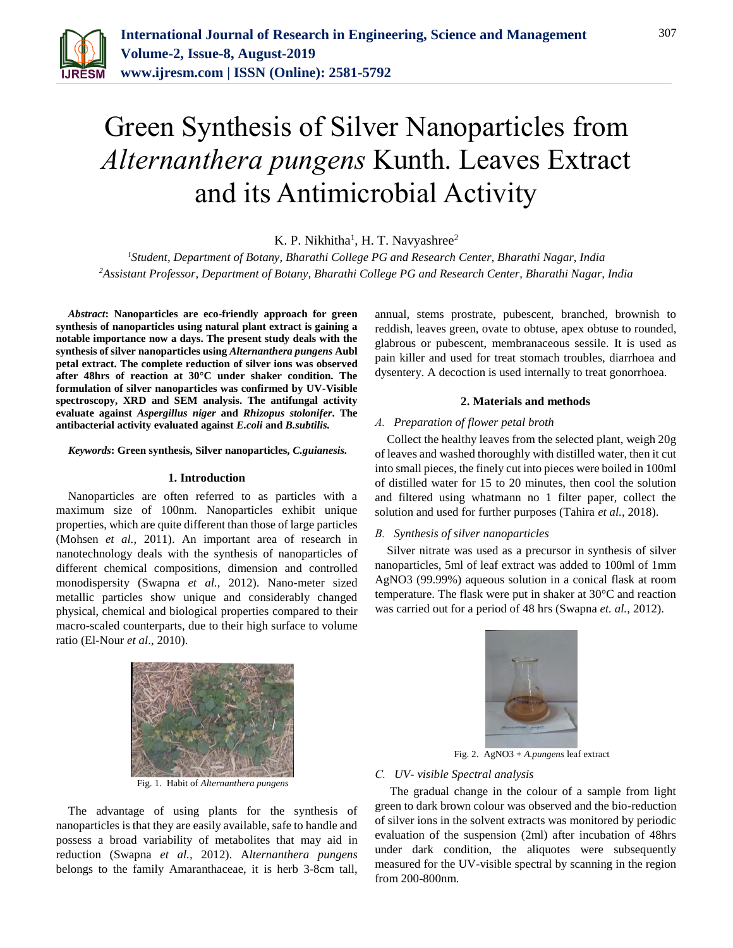

# Green Synthesis of Silver Nanoparticles from *Alternanthera pungens* Kunth. Leaves Extract and its Antimicrobial Activity

K. P. Nikhitha<sup>1</sup>, H. T. Navyashree<sup>2</sup>

*<sup>1</sup>Student, Department of Botany, Bharathi College PG and Research Center, Bharathi Nagar, India 2Assistant Professor, Department of Botany, Bharathi College PG and Research Center, Bharathi Nagar, India*

*Abstract***: Nanoparticles are eco-friendly approach for green synthesis of nanoparticles using natural plant extract is gaining a notable importance now a days. The present study deals with the synthesis of silver nanoparticles using** *Alternanthera pungens* **Aubl petal extract. The complete reduction of silver ions was observed after 48hrs of reaction at 30°C under shaker condition. The formulation of silver nanoparticles was confirmed by UV-Visible spectroscopy, XRD and SEM analysis. The antifungal activity evaluate against** *Aspergillus niger* **and** *Rhizopus stolonifer***. The antibacterial activity evaluated against** *E.coli* **and** *B.subtilis.*

*Keywords***: Green synthesis, Silver nanoparticles,** *C.guianesis.*

#### **1. Introduction**

Nanoparticles are often referred to as particles with a maximum size of 100nm. Nanoparticles exhibit unique properties, which are quite different than those of large particles (Mohsen *et al.,* 2011). An important area of research in nanotechnology deals with the synthesis of nanoparticles of different chemical compositions, dimension and controlled monodispersity (Swapna *et al.,* 2012). Nano-meter sized metallic particles show unique and considerably changed physical, chemical and biological properties compared to their macro-scaled counterparts, due to their high surface to volume ratio (El-Nour *et al*., 2010).



Fig. 1. Habit of *Alternanthera pungens*

The advantage of using plants for the synthesis of nanoparticles is that they are easily available, safe to handle and possess a broad variability of metabolites that may aid in reduction (Swapna *et al.,* 2012). A*lternanthera pungens* belongs to the family Amaranthaceae, it is herb 3-8cm tall,

annual, stems prostrate, pubescent, branched, brownish to reddish, leaves green, ovate to obtuse, apex obtuse to rounded, glabrous or pubescent, membranaceous sessile. It is used as pain killer and used for treat stomach troubles, diarrhoea and dysentery. A decoction is used internally to treat gonorrhoea.

#### **2. Materials and methods**

## *A. Preparation of flower petal broth*

Collect the healthy leaves from the selected plant, weigh 20g of leaves and washed thoroughly with distilled water, then it cut into small pieces, the finely cut into pieces were boiled in 100ml of distilled water for 15 to 20 minutes, then cool the solution and filtered using whatmann no 1 filter paper, collect the solution and used for further purposes (Tahira *et al.,* 2018).

#### *B. Synthesis of silver nanoparticles*

Silver nitrate was used as a precursor in synthesis of silver nanoparticles, 5ml of leaf extract was added to 100ml of 1mm AgNO3 (99.99%) aqueous solution in a conical flask at room temperature. The flask were put in shaker at 30°C and reaction was carried out for a period of 48 hrs (Swapna *et. al.,* 2012).



Fig. 2. AgNO3 + *A.pungens* leaf extract

#### *C. UV- visible Spectral analysis*

The gradual change in the colour of a sample from light green to dark brown colour was observed and the bio-reduction of silver ions in the solvent extracts was monitored by periodic evaluation of the suspension (2ml) after incubation of 48hrs under dark condition, the aliquotes were subsequently measured for the UV-visible spectral by scanning in the region from 200-800nm.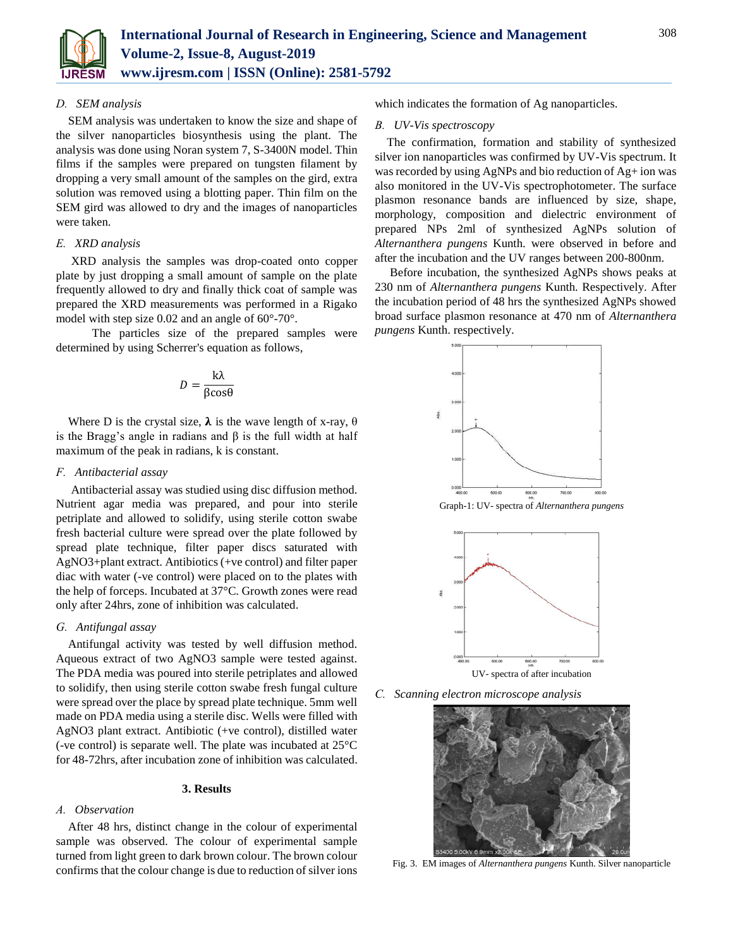

#### *D. SEM analysis*

SEM analysis was undertaken to know the size and shape of the silver nanoparticles biosynthesis using the plant. The analysis was done using Noran system 7, S-3400N model. Thin films if the samples were prepared on tungsten filament by dropping a very small amount of the samples on the gird, extra solution was removed using a blotting paper. Thin film on the SEM gird was allowed to dry and the images of nanoparticles were taken.

## *E. XRD analysis*

XRD analysis the samples was drop-coated onto copper plate by just dropping a small amount of sample on the plate frequently allowed to dry and finally thick coat of sample was prepared the XRD measurements was performed in a Rigako model with step size 0.02 and an angle of 60°-70°.

 The particles size of the prepared samples were determined by using Scherrer's equation as follows,

$$
D = \frac{k\lambda}{\beta \cos \theta}
$$

Where D is the crystal size,  $\lambda$  is the wave length of x-ray,  $\theta$ is the Bragg's angle in radians and β is the full width at half maximum of the peak in radians, k is constant.

## *F. Antibacterial assay*

Antibacterial assay was studied using disc diffusion method. Nutrient agar media was prepared, and pour into sterile petriplate and allowed to solidify, using sterile cotton swabe fresh bacterial culture were spread over the plate followed by spread plate technique, filter paper discs saturated with AgNO3+plant extract. Antibiotics (+ve control) and filter paper diac with water (-ve control) were placed on to the plates with the help of forceps. Incubated at 37°C. Growth zones were read only after 24hrs, zone of inhibition was calculated.

#### *G. Antifungal assay*

Antifungal activity was tested by well diffusion method. Aqueous extract of two AgNO3 sample were tested against. The PDA media was poured into sterile petriplates and allowed to solidify, then using sterile cotton swabe fresh fungal culture were spread over the place by spread plate technique. 5mm well made on PDA media using a sterile disc. Wells were filled with AgNO3 plant extract. Antibiotic (+ve control), distilled water (-ve control) is separate well. The plate was incubated at 25°C for 48-72hrs, after incubation zone of inhibition was calculated.

#### **3. Results**

#### *A. Observation*

After 48 hrs, distinct change in the colour of experimental sample was observed. The colour of experimental sample turned from light green to dark brown colour. The brown colour confirms that the colour change is due to reduction of silver ions which indicates the formation of Ag nanoparticles.

#### *B. UV-Vis spectroscopy*

The confirmation, formation and stability of synthesized silver ion nanoparticles was confirmed by UV-Vis spectrum. It was recorded by using AgNPs and bio reduction of Ag+ ion was also monitored in the UV-Vis spectrophotometer. The surface plasmon resonance bands are influenced by size, shape, morphology, composition and dielectric environment of prepared NPs 2ml of synthesized AgNPs solution of *Alternanthera pungens* Kunth. were observed in before and after the incubation and the UV ranges between 200-800nm.

Before incubation, the synthesized AgNPs shows peaks at 230 nm of *Alternanthera pungens* Kunth. Respectively. After the incubation period of 48 hrs the synthesized AgNPs showed broad surface plasmon resonance at 470 nm of *Alternanthera pungens* Kunth. respectively.



Graph-1: UV- spectra of *Alternanthera pungens* 



*C. Scanning electron microscope analysis*



Fig. 3. EM images of *Alternanthera pungens* Kunth. Silver nanoparticle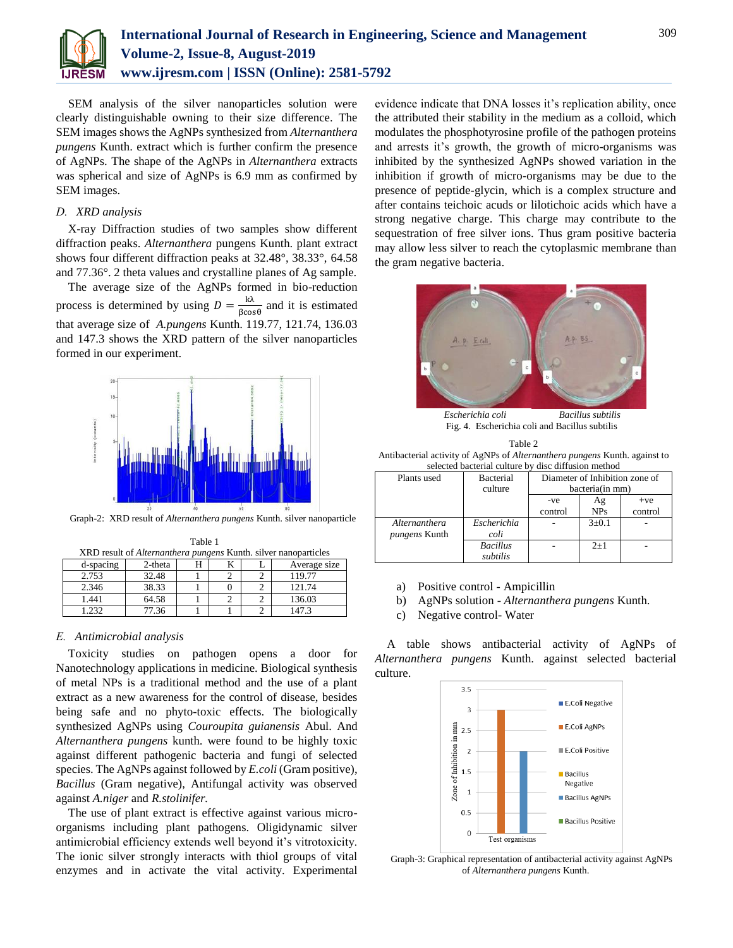

SEM analysis of the silver nanoparticles solution were clearly distinguishable owning to their size difference. The SEM images shows the AgNPs synthesized from *Alternanthera pungens* Kunth. extract which is further confirm the presence of AgNPs. The shape of the AgNPs in *Alternanthera* extracts was spherical and size of AgNPs is 6.9 mm as confirmed by SEM images.

#### *D. XRD analysis*

X-ray Diffraction studies of two samples show different diffraction peaks. *Alternanthera* pungens Kunth. plant extract shows four different diffraction peaks at 32.48°, 38.33°, 64.58 and 77.36°. 2 theta values and crystalline planes of Ag sample.

The average size of the AgNPs formed in bio-reduction process is determined by using  $D = \frac{k\lambda}{g}$  $\frac{K}{\beta \cos \theta}$  and it is estimated that average size of *A.pungens* Kunth. 119.77, 121.74, 136.03 and 147.3 shows the XRD pattern of the silver nanoparticles formed in our experiment.



Graph-2: XRD result of *Alternanthera pungens* Kunth. silver nanoparticle

| XRD result of <i>Alternanthera pungens</i> Kunth. silver nanoparticles |            |  |  |  |              |  |  |  |  |
|------------------------------------------------------------------------|------------|--|--|--|--------------|--|--|--|--|
| d-spacing                                                              | $2$ -theta |  |  |  | Average size |  |  |  |  |
| 2.753                                                                  | 32.48      |  |  |  | 119.77       |  |  |  |  |
| 2.346                                                                  | 38.33      |  |  |  | 121.74       |  |  |  |  |
| 1.441                                                                  | 64.58      |  |  |  | 136.03       |  |  |  |  |
| 1.232                                                                  | 77.36      |  |  |  | 147.3        |  |  |  |  |

Table 1

#### *E. Antimicrobial analysis*

Toxicity studies on pathogen opens a door for Nanotechnology applications in medicine. Biological synthesis of metal NPs is a traditional method and the use of a plant extract as a new awareness for the control of disease, besides being safe and no phyto-toxic effects. The biologically synthesized AgNPs using *Couroupita guianensis* Abul. And *Alternanthera pungens* kunth. were found to be highly toxic against different pathogenic bacteria and fungi of selected species. The AgNPs against followed by *E.coli* (Gram positive), *Bacillus* (Gram negative), Antifungal activity was observed against *A.niger* and *R.stolinifer.*

The use of plant extract is effective against various microorganisms including plant pathogens. Oligidynamic silver antimicrobial efficiency extends well beyond it's vitrotoxicity. The ionic silver strongly interacts with thiol groups of vital enzymes and in activate the vital activity. Experimental evidence indicate that DNA losses it's replication ability, once the attributed their stability in the medium as a colloid, which modulates the phosphotyrosine profile of the pathogen proteins and arrests it's growth, the growth of micro-organisms was inhibited by the synthesized AgNPs showed variation in the inhibition if growth of micro-organisms may be due to the presence of peptide-glycin, which is a complex structure and after contains teichoic acuds or lilotichoic acids which have a strong negative charge. This charge may contribute to the sequestration of free silver ions. Thus gram positive bacteria may allow less silver to reach the cytoplasmic membrane than the gram negative bacteria.



 *Escherichia coli Bacillus subtilis*  Fig. 4. Escherichia coli and Bacillus subtilis

| Table 2                                                                           |
|-----------------------------------------------------------------------------------|
| Antibacterial activity of AgNPs of <i>Alternanthera pungens</i> Kunth. against to |
| selected bacterial culture by disc diffusion method                               |

| sciected bacterial culture by<br>alse alliasion memoa |                  |                                |             |         |  |  |
|-------------------------------------------------------|------------------|--------------------------------|-------------|---------|--|--|
| Plants used                                           | <b>Bacterial</b> | Diameter of Inhibition zone of |             |         |  |  |
|                                                       | culture          | bacteria(in mm)                |             |         |  |  |
|                                                       |                  | -ve                            | Ag          | $+ve$   |  |  |
|                                                       |                  | control                        | <b>NPs</b>  | control |  |  |
| Alternanthera                                         | Escherichia      |                                | $3 \pm 0.1$ |         |  |  |
| <i>pungens</i> Kunth                                  | coli             |                                |             |         |  |  |
|                                                       | <b>Bacillus</b>  |                                | $2+1$       |         |  |  |
|                                                       | subtilis         |                                |             |         |  |  |

- a) Positive control Ampicillin
- b) AgNPs solution *Alternanthera pungens* Kunth.
- c) Negative control- Water

A table shows antibacterial activity of AgNPs of *Alternanthera pungens* Kunth. against selected bacterial culture.



Graph-3: Graphical representation of antibacterial activity against AgNPs of *Alternanthera pungens* Kunth.